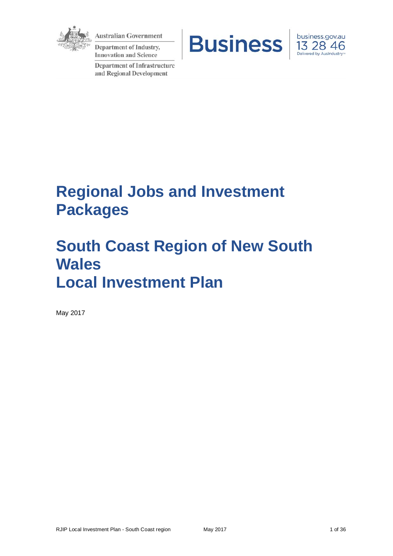

**Australian Government** 

Department of Industry, **Innovation and Science** 

**Department of Infrastructure** and Regional Development





# **Regional Jobs and Investment Packages**

# **South Coast Region of New South Wales Local Investment Plan**

May 2017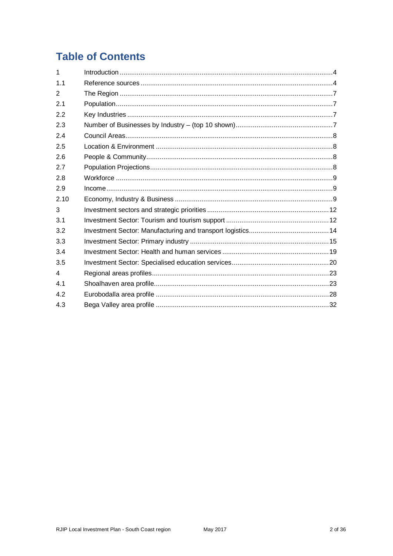## **Table of Contents**

| 1              |  |
|----------------|--|
| 1.1            |  |
| 2              |  |
| 2.1            |  |
| 2.2            |  |
| 2.3            |  |
| 2.4            |  |
| 2.5            |  |
| 2.6            |  |
| 2.7            |  |
| 2.8            |  |
| 2.9            |  |
| 2.10           |  |
| 3              |  |
| 3.1            |  |
| 3.2            |  |
| 3.3            |  |
| 3.4            |  |
| 3.5            |  |
| $\overline{4}$ |  |
| 4.1            |  |
| 4.2            |  |
| 4.3            |  |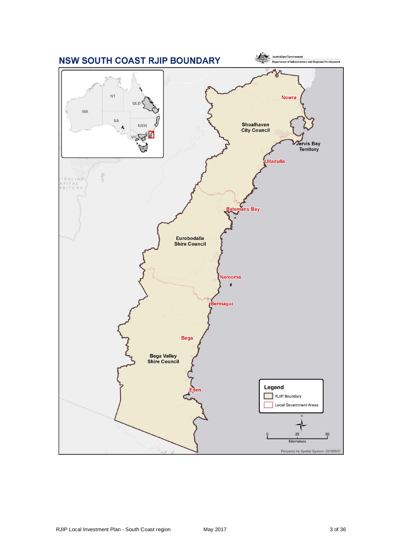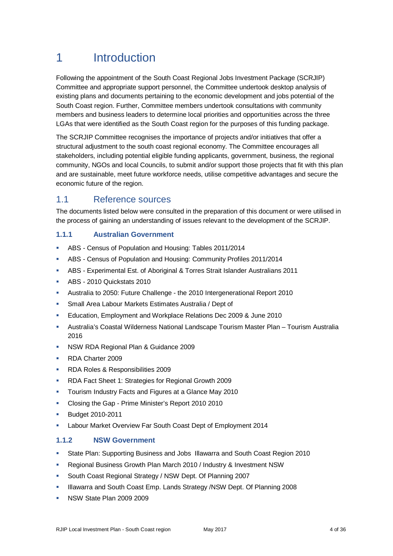## 1 Introduction

Following the appointment of the South Coast Regional Jobs Investment Package (SCRJIP) Committee and appropriate support personnel, the Committee undertook desktop analysis of existing plans and documents pertaining to the economic development and jobs potential of the South Coast region. Further, Committee members undertook consultations with community members and business leaders to determine local priorities and opportunities across the three LGAs that were identified as the South Coast region for the purposes of this funding package.

The SCRJIP Committee recognises the importance of projects and/or initiatives that offer a structural adjustment to the south coast regional economy. The Committee encourages all stakeholders, including potential eligible funding applicants, government, business, the regional community, NGOs and local Councils, to submit and/or support those projects that fit with this plan and are sustainable, meet future workforce needs, utilise competitive advantages and secure the economic future of the region.

## 1.1 Reference sources

The documents listed below were consulted in the preparation of this document or were utilised in the process of gaining an understanding of issues relevant to the development of the SCRJIP.

#### **1.1.1 Australian Government**

- ABS Census of Population and Housing: Tables 2011/2014
- ABS Census of Population and Housing: Community Profiles 2011/2014
- ABS Experimental Est. of Aboriginal & Torres Strait Islander Australians 2011
- ABS 2010 Quickstats 2010
- Australia to 2050: Future Challenge the 2010 Intergenerational Report 2010
- Small Area Labour Markets Estimates Australia / Dept of
- Education, Employment and Workplace Relations Dec 2009 & June 2010
- Australia's Coastal Wilderness National Landscape Tourism Master Plan Tourism Australia 2016
- **NSW RDA Regional Plan & Guidance 2009**
- **RDA Charter 2009**
- **RDA Roles & Responsibilities 2009**
- RDA Fact Sheet 1: Strategies for Regional Growth 2009
- **Tourism Industry Facts and Figures at a Glance May 2010**
- Closing the Gap Prime Minister's Report 2010 2010
- **Budget 2010-2011**
- **Labour Market Overview Far South Coast Dept of Employment 2014**

#### **1.1.2 NSW Government**

- State Plan: Supporting Business and Jobs Illawarra and South Coast Region 2010
- Regional Business Growth Plan March 2010 / Industry & Investment NSW
- South Coast Regional Strategy / NSW Dept. Of Planning 2007
- Illawarra and South Coast Emp. Lands Strategy /NSW Dept. Of Planning 2008
- **NSW State Plan 2009 2009**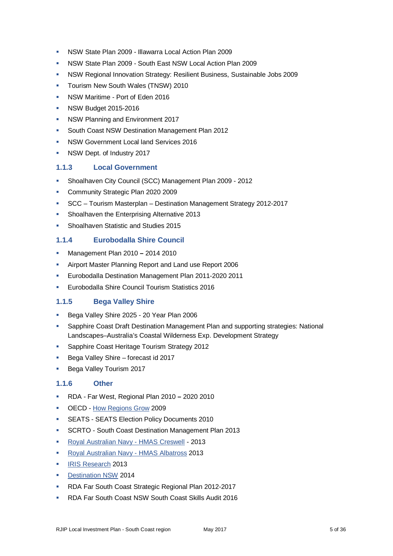- NSW State Plan 2009 Illawarra Local Action Plan 2009
- NSW State Plan 2009 South East NSW Local Action Plan 2009
- NSW Regional Innovation Strategy: Resilient Business, Sustainable Jobs 2009
- Tourism New South Wales (TNSW) 2010
- NSW Maritime Port of Eden 2016
- **NSW Budget 2015-2016**
- **NSW Planning and Environment 2017**
- **South Coast NSW Destination Management Plan 2012**
- **NSW Government Local land Services 2016**
- **NSW Dept. of Industry 2017**

#### **1.1.3 Local Government**

- Shoalhaven City Council (SCC) Management Plan 2009 2012
- **Community Strategic Plan 2020 2009**
- SCC Tourism Masterplan Destination Management Strategy 2012-2017
- **Shoalhaven the Enterprising Alternative 2013**
- **Shoalhaven Statistic and Studies 2015**

#### **1.1.4 Eurobodalla Shire Council**

- Management Plan 2010 **–** 2014 2010
- Airport Master Planning Report and Land use Report 2006
- Eurobodalla Destination Management Plan 2011-2020 2011
- **Eurobodalla Shire Council Tourism Statistics 2016**

#### **1.1.5 Bega Valley Shire**

- Bega Valley Shire 2025 20 Year Plan 2006
- Sapphire Coast Draft Destination Management Plan and supporting strategies: National Landscapes–Australia's Coastal Wilderness Exp. Development Strategy
- Sapphire Coast Heritage Tourism Strategy 2012
- Bega Valley Shire forecast id 2017
- Bega Valley Tourism 2017

#### **1.1.6 Other**

- RDA Far West, Regional Plan 2010 **–** 2020 2010
- OECD [How Regions Grow](http://www.oecd.org/datoecd/18/45/42446805.pdf) 2009
- **SEATS SEATS Election Policy Documents 2010**
- SCRTO South Coast Destination Management Plan 2013
- [Royal Australian Navy -](http://www.navy.gov.au/establishments/hmas-creswell) HMAS Creswell 2013
- **[Royal Australian Navy -](http://www.navy.gov.au/establishments/hmas-albatross) HMAS Albatross 2013**
- **[IRIS Research](http://www.iris.org.au/) 2013**
- **[Destination NSW](http://www.destinationnsw.com.au/tourism/facts-and-figures) 2014**
- **RDA Far South Coast Strategic Regional Plan 2012-2017**
- RDA Far South Coast NSW South Coast Skills Audit 2016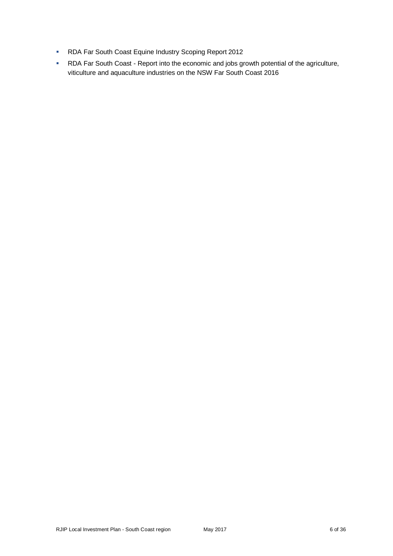- **RDA Far South Coast Equine Industry Scoping Report 2012**
- RDA Far South Coast Report into the economic and jobs growth potential of the agriculture, viticulture and aquaculture industries on the NSW Far South Coast 2016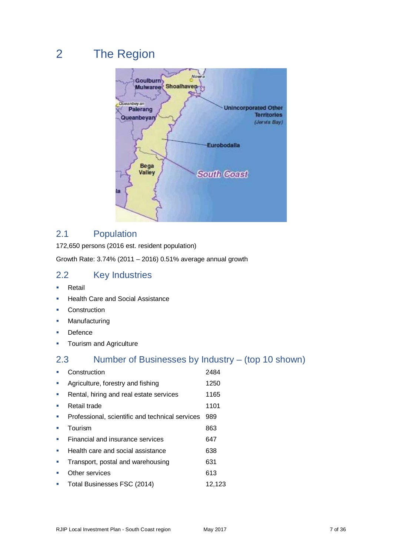## 2 The Region



## 2.1 Population

172,650 persons (2016 est. resident population)

Growth Rate: 3.74% (2011 – 2016) 0.51% average annual growth

## 2.2 Key Industries

- **Retail**
- Health Care and Social Assistance
- **Construction**
- **Manufacturing**
- **Defence**
- **Tourism and Agriculture**

## 2.3 Number of Businesses by Industry – (top 10 shown)

| Construction                                    | 2484   |
|-------------------------------------------------|--------|
| Agriculture, forestry and fishing               | 1250   |
| Rental, hiring and real estate services         | 1165   |
| Retail trade                                    | 1101   |
| Professional, scientific and technical services | 989    |
| Tourism                                         | 863    |
| Financial and insurance services                | 647    |
| Health care and social assistance               | 638    |
| Transport, postal and warehousing               | 631    |
| Other services                                  | 613    |
| Total Businesses FSC (2014)                     | 12.123 |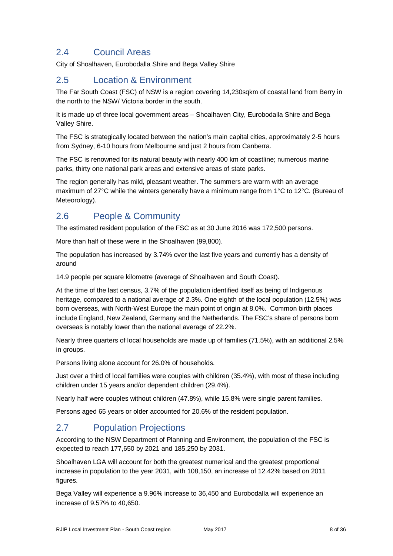## 2.4 Council Areas

City of Shoalhaven, Eurobodalla Shire and Bega Valley Shire

## 2.5 Location & Environment

The Far South Coast (FSC) of NSW is a region covering 14,230sqkm of coastal land from Berry in the north to the NSW/ Victoria border in the south.

It is made up of three local government areas – Shoalhaven City, Eurobodalla Shire and Bega Valley Shire.

The FSC is strategically located between the nation's main capital cities, approximately 2-5 hours from Sydney, 6-10 hours from Melbourne and just 2 hours from Canberra.

The FSC is renowned for its natural beauty with nearly 400 km of coastline; numerous marine parks, thirty one national park areas and extensive areas of state parks.

The region generally has mild, pleasant weather. The summers are warm with an average maximum of 27°C while the winters generally have a minimum range from 1°C to 12°C. (Bureau of Meteorology).

## 2.6 People & Community

The estimated resident population of the FSC as at 30 June 2016 was 172,500 persons.

More than half of these were in the Shoalhaven (99,800).

The population has increased by 3.74% over the last five years and currently has a density of around

14.9 people per square kilometre (average of Shoalhaven and South Coast).

At the time of the last census, 3.7% of the population identified itself as being of Indigenous heritage, compared to a national average of 2.3%. One eighth of the local population (12.5%) was born overseas, with North-West Europe the main point of origin at 8.0%. Common birth places include England, New Zealand, Germany and the Netherlands. The FSC's share of persons born overseas is notably lower than the national average of 22.2%.

Nearly three quarters of local households are made up of families (71.5%), with an additional 2.5% in groups.

Persons living alone account for 26.0% of households.

Just over a third of local families were couples with children (35.4%), with most of these including children under 15 years and/or dependent children (29.4%).

Nearly half were couples without children (47.8%), while 15.8% were single parent families.

Persons aged 65 years or older accounted for 20.6% of the resident population.

## 2.7 Population Projections

According to the NSW Department of Planning and Environment, the population of the FSC is expected to reach 177,650 by 2021 and 185,250 by 2031.

Shoalhaven LGA will account for both the greatest numerical and the greatest proportional increase in population to the year 2031, with 108,150, an increase of 12.42% based on 2011 figures.

Bega Valley will experience a 9.96% increase to 36,450 and Eurobodalla will experience an increase of 9.57% to 40,650.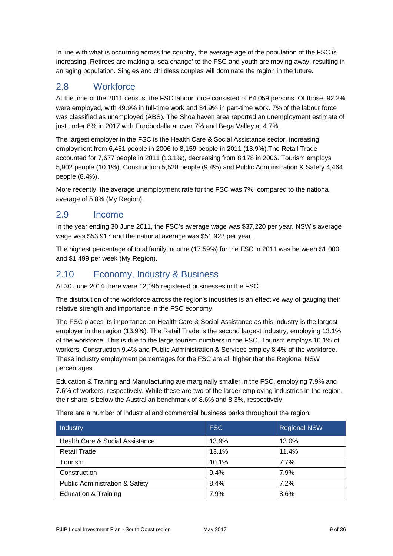In line with what is occurring across the country, the average age of the population of the FSC is increasing. Retirees are making a 'sea change' to the FSC and youth are moving away, resulting in an aging population. Singles and childless couples will dominate the region in the future.

## 2.8 Workforce

At the time of the 2011 census, the FSC labour force consisted of 64,059 persons. Of those, 92.2% were employed, with 49.9% in full-time work and 34.9% in part-time work. 7% of the labour force was classified as unemployed (ABS). The Shoalhaven area reported an unemployment estimate of just under 8% in 2017 with Eurobodalla at over 7% and Bega Valley at 4.7%.

The largest employer in the FSC is the Health Care & Social Assistance sector, increasing employment from 6,451 people in 2006 to 8,159 people in 2011 (13.9%).The Retail Trade accounted for 7,677 people in 2011 (13.1%), decreasing from 8,178 in 2006. Tourism employs 5,902 people (10.1%), Construction 5,528 people (9.4%) and Public Administration & Safety 4,464 people (8.4%).

More recently, the average unemployment rate for the FSC was 7%, compared to the national average of 5.8% (My Region).

## 2.9 Income

In the year ending 30 June 2011, the FSC's average wage was \$37,220 per year. NSW's average wage was \$53,917 and the national average was \$51,923 per year.

The highest percentage of total family income (17.59%) for the FSC in 2011 was between \$1,000 and \$1,499 per week (My Region).

## 2.10 Economy, Industry & Business

At 30 June 2014 there were 12,095 registered businesses in the FSC.

The distribution of the workforce across the region's industries is an effective way of gauging their relative strength and importance in the FSC economy.

The FSC places its importance on Health Care & Social Assistance as this industry is the largest employer in the region (13.9%). The Retail Trade is the second largest industry, employing 13.1% of the workforce. This is due to the large tourism numbers in the FSC. Tourism employs 10.1% of workers, Construction 9.4% and Public Administration & Services employ 8.4% of the workforce. These industry employment percentages for the FSC are all higher that the Regional NSW percentages.

Education & Training and Manufacturing are marginally smaller in the FSC, employing 7.9% and 7.6% of workers, respectively. While these are two of the larger employing industries in the region, their share is below the Australian benchmark of 8.6% and 8.3%, respectively.

| Industry                                  | <b>FSC</b> | <b>Regional NSW</b> |
|-------------------------------------------|------------|---------------------|
| Health Care & Social Assistance           | 13.9%      | 13.0%               |
| <b>Retail Trade</b>                       | 13.1%      | 11.4%               |
| Tourism                                   | 10.1%      | 7.7%                |
| Construction                              | 9.4%       | 7.9%                |
| <b>Public Administration &amp; Safety</b> | 8.4%       | 7.2%                |
| <b>Education &amp; Training</b>           | 7.9%       | 8.6%                |

There are a number of industrial and commercial business parks throughout the region.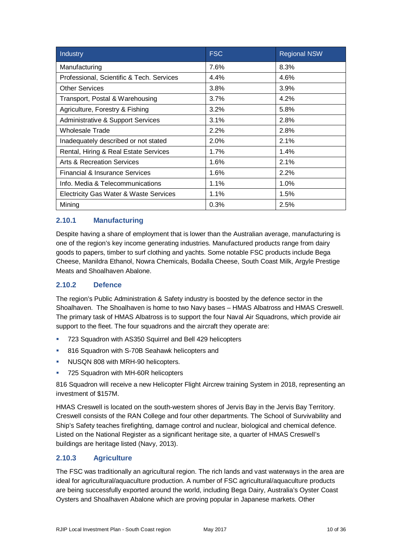| Industry                                     | <b>FSC</b> | <b>Regional NSW</b> |
|----------------------------------------------|------------|---------------------|
| Manufacturing                                | 7.6%       | 8.3%                |
| Professional, Scientific & Tech. Services    | 4.4%       | 4.6%                |
| <b>Other Services</b>                        | 3.8%       | 3.9%                |
| Transport, Postal & Warehousing              | 3.7%       | 4.2%                |
| Agriculture, Forestry & Fishing              | 3.2%       | 5.8%                |
| <b>Administrative &amp; Support Services</b> | $3.1\%$    | 2.8%                |
| <b>Wholesale Trade</b>                       | 2.2%       | 2.8%                |
| Inadequately described or not stated         | 2.0%       | 2.1%                |
| Rental, Hiring & Real Estate Services        | 1.7%       | 1.4%                |
| <b>Arts &amp; Recreation Services</b>        | 1.6%       | 2.1%                |
| Financial & Insurance Services               | 1.6%       | 2.2%                |
| Info. Media & Telecommunications             | 1.1%       | 1.0%                |
| Electricity Gas Water & Waste Services       | 1.1%       | 1.5%                |
| Mining                                       | 0.3%       | 2.5%                |

#### **2.10.1 Manufacturing**

Despite having a share of employment that is lower than the Australian average, manufacturing is one of the region's key income generating industries. Manufactured products range from dairy goods to papers, timber to surf clothing and yachts. Some notable FSC products include Bega Cheese, Manildra Ethanol, Nowra Chemicals, Bodalla Cheese, South Coast Milk, Argyle Prestige Meats and Shoalhaven Abalone.

#### **2.10.2 Defence**

The region's Public Administration & Safety industry is boosted by the defence sector in the Shoalhaven. The Shoalhaven is home to two Navy bases – HMAS Albatross and HMAS Creswell. The primary task of HMAS Albatross is to support the four Naval Air Squadrons, which provide air support to the fleet. The four squadrons and the aircraft they operate are:

- 723 Squadron with AS350 Squirrel and Bell 429 helicopters
- 816 Squadron with S-70B Seahawk helicopters and
- NUSQN 808 with MRH-90 helicopters.
- **725 Squadron with MH-60R helicopters**

816 Squadron will receive a new Helicopter Flight Aircrew training System in 2018, representing an investment of \$157M.

HMAS Creswell is located on the south-western shores of Jervis Bay in the Jervis Bay Territory. Creswell consists of the RAN College and four other departments. The School of Survivability and Ship's Safety teaches firefighting, damage control and nuclear, biological and chemical defence. Listed on the National Register as a significant heritage site, a quarter of HMAS Creswell's buildings are heritage listed (Navy, 2013).

#### **2.10.3 Agriculture**

The FSC was traditionally an agricultural region. The rich lands and vast waterways in the area are ideal for agricultural/aquaculture production. A number of FSC agricultural/aquaculture products are being successfully exported around the world, including Bega Dairy, Australia's Oyster Coast Oysters and Shoalhaven Abalone which are proving popular in Japanese markets. Other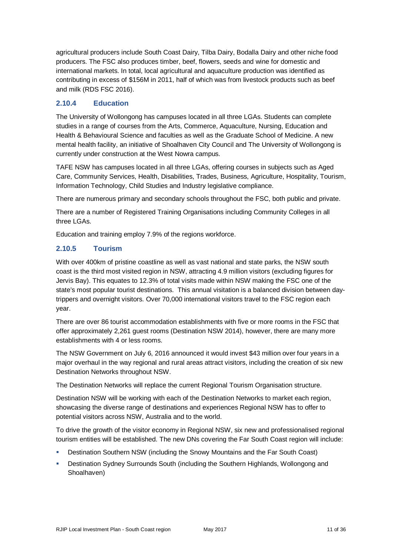agricultural producers include South Coast Dairy, Tilba Dairy, Bodalla Dairy and other niche food producers. The FSC also produces timber, beef, flowers, seeds and wine for domestic and international markets. In total, local agricultural and aquaculture production was identified as contributing in excess of \$156M in 2011, half of which was from livestock products such as beef and milk (RDS FSC 2016).

#### **2.10.4 Education**

The University of Wollongong has campuses located in all three LGAs. Students can complete studies in a range of courses from the Arts, Commerce, Aquaculture, Nursing, Education and Health & Behavioural Science and faculties as well as the Graduate School of Medicine. A new mental health facility, an initiative of Shoalhaven City Council and The University of Wollongong is currently under construction at the West Nowra campus.

TAFE NSW has campuses located in all three LGAs, offering courses in subjects such as Aged Care, Community Services, Health, Disabilities, Trades, Business, Agriculture, Hospitality, Tourism, Information Technology, Child Studies and Industry legislative compliance.

There are numerous primary and secondary schools throughout the FSC, both public and private.

There are a number of Registered Training Organisations including Community Colleges in all three LGAs.

Education and training employ 7.9% of the regions workforce.

### **2.10.5 Tourism**

With over 400km of pristine coastline as well as vast national and state parks, the NSW south coast is the third most visited region in NSW, attracting 4.9 million visitors (excluding figures for Jervis Bay). This equates to 12.3% of total visits made within NSW making the FSC one of the state's most popular tourist destinations. This annual visitation is a balanced division between daytrippers and overnight visitors. Over 70,000 international visitors travel to the FSC region each year.

There are over 86 tourist accommodation establishments with five or more rooms in the FSC that offer approximately 2,261 guest rooms (Destination NSW 2014), however, there are many more establishments with 4 or less rooms.

The NSW Government on July 6, 2016 announced it would invest \$43 million over four years in a major overhaul in the way regional and rural areas attract visitors, including the creation of six new Destination Networks throughout NSW.

The Destination Networks will replace the current Regional Tourism Organisation structure.

Destination NSW will be working with each of the Destination Networks to market each region, showcasing the diverse range of destinations and experiences Regional NSW has to offer to potential visitors across NSW, Australia and to the world.

To drive the growth of the visitor economy in Regional NSW, six new and professionalised regional tourism entities will be established. The new DNs covering the Far South Coast region will include:

- Destination Southern NSW (including the Snowy Mountains and the Far South Coast)
- Destination Sydney Surrounds South (including the Southern Highlands, Wollongong and Shoalhaven)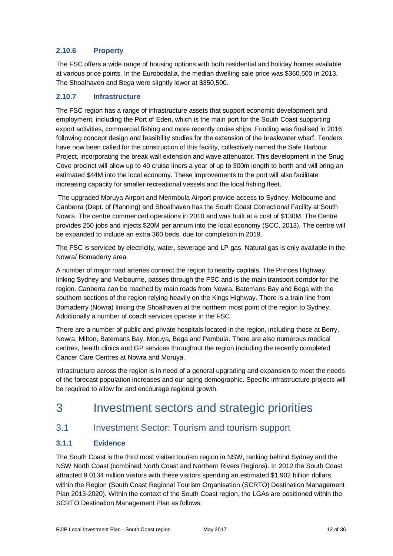#### **2.10.6 Property**

The FSC offers a wide range of housing options with both residential and holiday homes available at various price points. In the Eurobodalla, the median dwelling sale price was \$360,500 in 2013. The Shoalhaven and Bega were slightly lower at \$350,500.

#### **2.10.7 Infrastructure**

The FSC region has a range of infrastructure assets that support economic development and employment, including the Port of Eden, which is the main port for the South Coast supporting export activities, commercial fishing and more recently cruise ships. Funding was finalised in 2016 following concept design and feasibility studies for the extension of the breakwater wharf. Tenders have now been called for the construction of this facility, collectively named the Safe Harbour Project, incorporating the break wall extension and wave attenuator. This development in the Snug Cove precinct will allow up to 40 cruise liners a year of up to 300m length to berth and will bring an estimated \$44M into the local economy. These improvements to the port will also facilitate increasing capacity for smaller recreational vessels and the local fishing fleet.

The upgraded Moruya Airport and Merimbula Airport provide access to Sydney, Melbourne and Canberra (Dept. of Planning) and Shoalhaven has the South Coast Correctional Facility at South Nowra. The centre commenced operations in 2010 and was built at a cost of \$130M. The Centre provides 250 jobs and injects \$20M per annum into the local economy (SCC, 2013). The centre will be expanded to include an extra 360 beds, due for completion in 2019.

The FSC is serviced by electricity, water, sewerage and LP gas. Natural gas is only available in the Nowra/ Bomaderry area.

A number of major road arteries connect the region to nearby capitals. The Princes Highway, linking Sydney and Melbourne, passes through the FSC and is the main transport corridor for the region. Canberra can be reached by main roads from Nowra, Batemans Bay and Bega with the southern sections of the region relying heavily on the Kings Highway. There is a train line from Bomaderry (Nowra) linking the Shoalhaven at the northern most point of the region to Sydney. Additionally a number of coach services operate in the FSC.

There are a number of public and private hospitals located in the region, including those at Berry, Nowra, Milton, Batemans Bay, Moruya, Bega and Pambula. There are also numerous medical centres, health clinics and GP services throughout the region including the recently completed Cancer Care Centres at Nowra and Moruya.

Infrastructure across the region is in need of a general upgrading and expansion to meet the needs of the forecast population increases and our aging demographic. Specific infrastructure projects will be required to allow for and encourage regional growth.

## 3 Investment sectors and strategic priorities

## 3.1 Investment Sector: Tourism and tourism support

#### **3.1.1 Evidence**

The South Coast is the third most visited tourism region in NSW, ranking behind Sydney and the NSW North Coast (combined North Coast and Northern Rivers Regions). In 2012 the South Coast attracted 9.0134 million visitors with these visitors spending an estimated \$1.902 billion dollars within the Region (South Coast Regional Tourism Organisation (SCRTO) Destination Management Plan 2013-2020). Within the context of the South Coast region, the LGAs are positioned within the SCRTO Destination Management Plan as follows: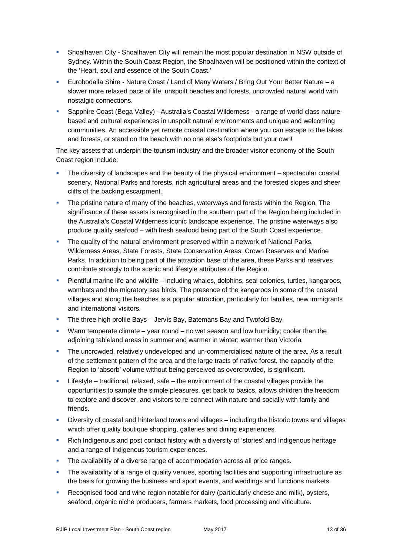- Shoalhaven City Shoalhaven City will remain the most popular destination in NSW outside of Sydney. Within the South Coast Region, the Shoalhaven will be positioned within the context of the 'Heart, soul and essence of the South Coast.'
- Eurobodalla Shire Nature Coast / Land of Many Waters / Bring Out Your Better Nature a slower more relaxed pace of life, unspoilt beaches and forests, uncrowded natural world with nostalgic connections.
- Sapphire Coast (Bega Valley) Australia's Coastal Wilderness a range of world class naturebased and cultural experiences in unspoilt natural environments and unique and welcoming communities. An accessible yet remote coastal destination where you can escape to the lakes and forests, or stand on the beach with no one else's footprints but your own!

The key assets that underpin the tourism industry and the broader visitor economy of the South Coast region include:

- The diversity of landscapes and the beauty of the physical environment spectacular coastal scenery, National Parks and forests, rich agricultural areas and the forested slopes and sheer cliffs of the backing escarpment.
- The pristine nature of many of the beaches, waterways and forests within the Region. The significance of these assets is recognised in the southern part of the Region being included in the Australia's Coastal Wilderness iconic landscape experience. The pristine waterways also produce quality seafood – with fresh seafood being part of the South Coast experience.
- The quality of the natural environment preserved within a network of National Parks, Wilderness Areas, State Forests, State Conservation Areas, Crown Reserves and Marine Parks. In addition to being part of the attraction base of the area, these Parks and reserves contribute strongly to the scenic and lifestyle attributes of the Region.
- Plentiful marine life and wildlife including whales, dolphins, seal colonies, turtles, kangaroos, wombats and the migratory sea birds. The presence of the kangaroos in some of the coastal villages and along the beaches is a popular attraction, particularly for families, new immigrants and international visitors.
- The three high profile Bays Jervis Bay, Batemans Bay and Twofold Bay.
- Warm temperate climate year round no wet season and low humidity; cooler than the adjoining tableland areas in summer and warmer in winter; warmer than Victoria.
- The uncrowded, relatively undeveloped and un-commercialised nature of the area. As a result of the settlement pattern of the area and the large tracts of native forest, the capacity of the Region to 'absorb' volume without being perceived as overcrowded, is significant.
- $\blacksquare$  Lifestyle traditional, relaxed, safe the environment of the coastal villages provide the opportunities to sample the simple pleasures, get back to basics, allows children the freedom to explore and discover, and visitors to re-connect with nature and socially with family and friends.
- Diversity of coastal and hinterland towns and villages including the historic towns and villages which offer quality boutique shopping, galleries and dining experiences.
- Rich Indigenous and post contact history with a diversity of 'stories' and Indigenous heritage and a range of Indigenous tourism experiences.
- The availability of a diverse range of accommodation across all price ranges.
- The availability of a range of quality venues, sporting facilities and supporting infrastructure as the basis for growing the business and sport events, and weddings and functions markets.
- Recognised food and wine region notable for dairy (particularly cheese and milk), oysters, seafood, organic niche producers, farmers markets, food processing and viticulture.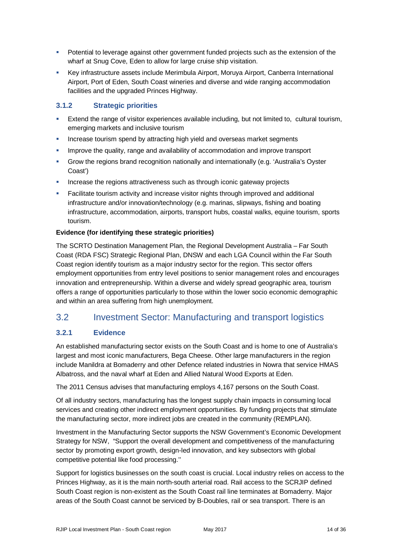- **Potential to leverage against other government funded projects such as the extension of the** wharf at Snug Cove, Eden to allow for large cruise ship visitation.
- Key infrastructure assets include Merimbula Airport, Moruya Airport, Canberra International Airport, Port of Eden, South Coast wineries and diverse and wide ranging accommodation facilities and the upgraded Princes Highway.

#### **3.1.2 Strategic priorities**

- Extend the range of visitor experiences available including, but not limited to, cultural tourism, emerging markets and inclusive tourism
- Increase tourism spend by attracting high yield and overseas market segments
- **IMPROVE THE GUALITY IS ADDETED ASSET ASSET ASSET IS A LIM I**n and improve transport
- Grow the regions brand recognition nationally and internationally (e.g. 'Australia's Oyster Coast')
- **Increase the regions attractiveness such as through iconic gateway projects**
- Facilitate tourism activity and increase visitor nights through improved and additional infrastructure and/or innovation/technology (e.g. marinas, slipways, fishing and boating infrastructure, accommodation, airports, transport hubs, coastal walks, equine tourism, sports tourism.

#### **Evidence (for identifying these strategic priorities)**

The SCRTO Destination Management Plan, the Regional Development Australia – Far South Coast (RDA FSC) Strategic Regional Plan, DNSW and each LGA Council within the Far South Coast region identify tourism as a major industry sector for the region. This sector offers employment opportunities from entry level positions to senior management roles and encourages innovation and entrepreneurship. Within a diverse and widely spread geographic area, tourism offers a range of opportunities particularly to those within the lower socio economic demographic and within an area suffering from high unemployment.

## 3.2 Investment Sector: Manufacturing and transport logistics

#### **3.2.1 Evidence**

An established manufacturing sector exists on the South Coast and is home to one of Australia's largest and most iconic manufacturers, Bega Cheese. Other large manufacturers in the region include Manildra at Bomaderry and other Defence related industries in Nowra that service HMAS Albatross, and the naval wharf at Eden and Allied Natural Wood Exports at Eden.

The 2011 Census advises that manufacturing employs 4,167 persons on the South Coast.

Of all industry sectors, manufacturing has the longest supply chain impacts in consuming local services and creating other indirect employment opportunities. By funding projects that stimulate the manufacturing sector, more indirect jobs are created in the community (REMPLAN).

Investment in the Manufacturing Sector supports the NSW Government's Economic Development Strategy for NSW, "Support the overall development and competitiveness of the manufacturing sector by promoting export growth, design-led innovation, and key subsectors with global competitive potential like food processing.''

Support for logistics businesses on the south coast is crucial. Local industry relies on access to the Princes Highway, as it is the main north-south arterial road. Rail access to the SCRJIP defined South Coast region is non-existent as the South Coast rail line terminates at Bomaderry. Major areas of the South Coast cannot be serviced by B-Doubles, rail or sea transport. There is an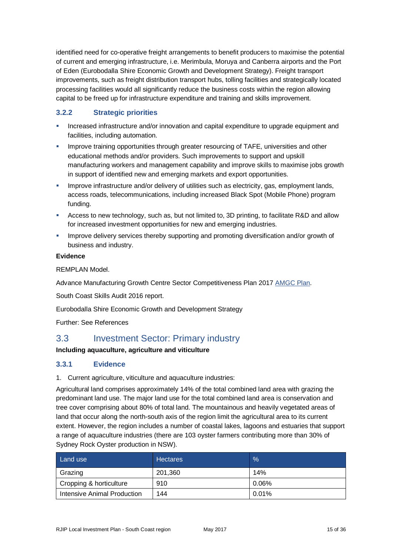identified need for co-operative freight arrangements to benefit producers to maximise the potential of current and emerging infrastructure, i.e. Merimbula, Moruya and Canberra airports and the Port of Eden (Eurobodalla Shire Economic Growth and Development Strategy). Freight transport improvements, such as freight distribution transport hubs, tolling facilities and strategically located processing facilities would all significantly reduce the business costs within the region allowing capital to be freed up for infrastructure expenditure and training and skills improvement.

#### **3.2.2 Strategic priorities**

- Increased infrastructure and/or innovation and capital expenditure to upgrade equipment and facilities, including automation.
- Improve training opportunities through greater resourcing of TAFE, universities and other educational methods and/or providers. Such improvements to support and upskill manufacturing workers and management capability and improve skills to maximise jobs growth in support of identified new and emerging markets and export opportunities.
- Improve infrastructure and/or delivery of utilities such as electricity, gas, employment lands, access roads, telecommunications, including increased Black Spot (Mobile Phone) program funding.
- Access to new technology, such as, but not limited to, 3D printing, to facilitate R&D and allow for increased investment opportunities for new and emerging industries.
- **IMPROVE 19** Improve delivery services thereby supporting and promoting diversification and/or growth of business and industry.

#### **Evidence**

REMPLAN Model.

Advance Manufacturing Growth Centre Sector Competitiveness Plan 2017 [AMGC Plan.](https://www.amgc.org.au/Attachment?Action=Download&Attachment_id=15)

South Coast Skills Audit 2016 report.

Eurobodalla Shire Economic Growth and Development Strategy

Further: See References

## 3.3 Investment Sector: Primary industry

#### **Including aquaculture, agriculture and viticulture**

#### **3.3.1 Evidence**

1. Current agriculture, viticulture and aquaculture industries:

Agricultural land comprises approximately 14% of the total combined land area with grazing the predominant land use. The major land use for the total combined land area is conservation and tree cover comprising about 80% of total land. The mountainous and heavily vegetated areas of land that occur along the north-south axis of the region limit the agricultural area to its current extent. However, the region includes a number of coastal lakes, lagoons and estuaries that support a range of aquaculture industries (there are 103 oyster farmers contributing more than 30% of Sydney Rock Oyster production in NSW).

| Land use                    | <b>Hectares</b> | $\frac{9}{6}$ |
|-----------------------------|-----------------|---------------|
| Grazing                     | 201,360         | 14%           |
| Cropping & horticulture     | 910             | 0.06%         |
| Intensive Animal Production | 144             | 0.01%         |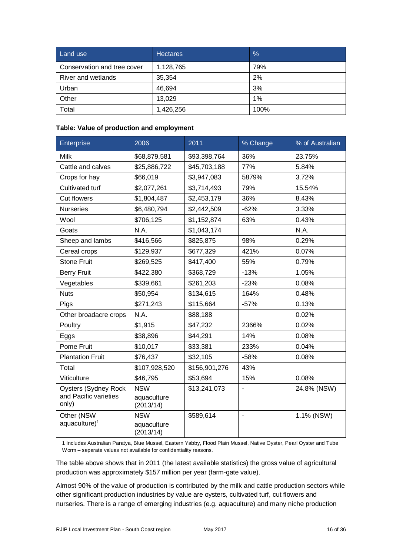| Land use                    | <b>Hectares</b> | $\frac{0}{6}$ |
|-----------------------------|-----------------|---------------|
| Conservation and tree cover | 1,128,765       | 79%           |
| River and wetlands          | 35,354          | 2%            |
| Urban                       | 46,694          | 3%            |
| Other                       | 13,029          | 1%            |
| Total                       | 1,426,256       | 100%          |

#### **Table: Value of production and employment**

| Enterprise                                                    | 2006                                   | 2011          | % Change | % of Australian |
|---------------------------------------------------------------|----------------------------------------|---------------|----------|-----------------|
| <b>Milk</b>                                                   | \$68,879,581                           | \$93,398,764  | 36%      | 23.75%          |
| Cattle and calves                                             | \$25,886,722                           | \$45,703,188  | 77%      | 5.84%           |
| Crops for hay                                                 | \$66,019                               | \$3,947,083   | 5879%    | 3.72%           |
| Cultivated turf                                               | \$2,077,261                            | \$3,714,493   | 79%      | 15.54%          |
| <b>Cut flowers</b>                                            | \$1,804,487                            | \$2,453,179   | 36%      | 8.43%           |
| <b>Nurseries</b>                                              | \$6,480,794                            | \$2,442,509   | $-62%$   | 3.33%           |
| Wool                                                          | \$706,125                              | \$1,152,874   | 63%      | 0.43%           |
| Goats                                                         | N.A.                                   | \$1,043,174   |          | N.A.            |
| Sheep and lambs                                               | \$416,566                              | \$825,875     | 98%      | 0.29%           |
| Cereal crops                                                  | \$129,937                              | \$677,329     | 421%     | 0.07%           |
| <b>Stone Fruit</b>                                            | \$269,525                              | \$417,400     | 55%      | 0.79%           |
| <b>Berry Fruit</b>                                            | \$422,380                              | \$368,729     | $-13%$   | 1.05%           |
| Vegetables                                                    | \$339,661                              | \$261,203     | $-23%$   | 0.08%           |
| <b>Nuts</b>                                                   | \$50,954                               | \$134,615     | 164%     | 0.48%           |
| Pigs                                                          | \$271,243                              | \$115,664     | $-57%$   | 0.13%           |
| Other broadacre crops                                         | N.A.                                   | \$88,188      |          | 0.02%           |
| Poultry                                                       | \$1,915                                | \$47,232      | 2366%    | 0.02%           |
| Eggs                                                          | \$38,896                               | \$44,291      | 14%      | 0.08%           |
| Pome Fruit                                                    | \$10,017                               | \$33,381      | 233%     | 0.04%           |
| <b>Plantation Fruit</b>                                       | \$76,437                               | \$32,105      | $-58%$   | 0.08%           |
| Total                                                         | \$107,928,520                          | \$156,901,276 | 43%      |                 |
| Viticulture                                                   | \$46,795                               | \$53,694      | 15%      | 0.08%           |
| <b>Oysters (Sydney Rock</b><br>and Pacific varieties<br>only) | <b>NSW</b><br>aquaculture<br>(2013/14) | \$13,241,073  |          | 24.8% (NSW)     |
| Other (NSW<br>$aquaculture)^1$                                | <b>NSW</b><br>aquaculture<br>(2013/14) | \$589,614     | ۰        | 1.1% (NSW)      |

1 Includes Australian Paratya, Blue Mussel, Eastern Yabby, Flood Plain Mussel, Native Oyster, Pearl Oyster and Tube Worm – separate values not available for confidentiality reasons.

The table above shows that in 2011 (the latest available statistics) the gross value of agricultural production was approximately \$157 million per year (farm-gate value).

Almost 90% of the value of production is contributed by the milk and cattle production sectors while other significant production industries by value are oysters, cultivated turf, cut flowers and nurseries. There is a range of emerging industries (e.g. aquaculture) and many niche production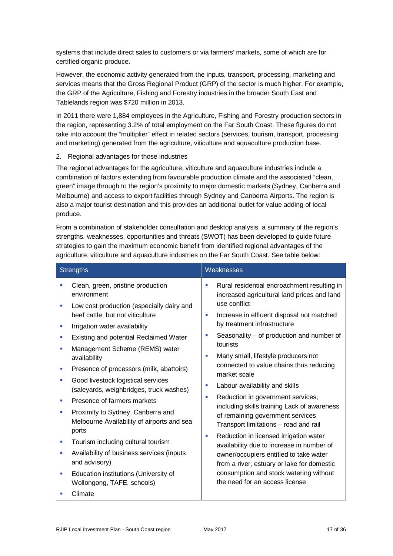systems that include direct sales to customers or via farmers' markets, some of which are for certified organic produce.

However, the economic activity generated from the inputs, transport, processing, marketing and services means that the Gross Regional Product (GRP) of the sector is much higher. For example, the GRP of the Agriculture, Fishing and Forestry industries in the broader South East and Tablelands region was \$720 million in 2013.

In 2011 there were 1,884 employees in the Agriculture, Fishing and Forestry production sectors in the region, representing 3.2% of total employment on the Far South Coast. These figures do not take into account the "multiplier" effect in related sectors (services, tourism, transport, processing and marketing) generated from the agriculture, viticulture and aquaculture production base.

#### 2. Regional advantages for those industries

The regional advantages for the agriculture, viticulture and aquaculture industries include a combination of factors extending from favourable production climate and the associated "clean, green" image through to the region's proximity to major domestic markets (Sydney, Canberra and Melbourne) and access to export facilities through Sydney and Canberra Airports. The region is also a major tourist destination and this provides an additional outlet for value adding of local produce.

From a combination of stakeholder consultation and desktop analysis, a summary of the region's strengths, weaknesses, opportunities and threats (SWOT) has been developed to guide future strategies to gain the maximum economic benefit from identified regional advantages of the agriculture, viticulture and aquaculture industries on the Far South Coast. See table below:

| <b>Strengths</b>                                                                                                                                                                                                                                                                                                                                                                                                                                                                                                                                                                                                                                                                                                                                                  | Weaknesses                                                                                                                                                                                                                                                                                                                                                                                                                                                                                                                                                                                                                                                                                                                                                                                                                                  |  |  |
|-------------------------------------------------------------------------------------------------------------------------------------------------------------------------------------------------------------------------------------------------------------------------------------------------------------------------------------------------------------------------------------------------------------------------------------------------------------------------------------------------------------------------------------------------------------------------------------------------------------------------------------------------------------------------------------------------------------------------------------------------------------------|---------------------------------------------------------------------------------------------------------------------------------------------------------------------------------------------------------------------------------------------------------------------------------------------------------------------------------------------------------------------------------------------------------------------------------------------------------------------------------------------------------------------------------------------------------------------------------------------------------------------------------------------------------------------------------------------------------------------------------------------------------------------------------------------------------------------------------------------|--|--|
| Clean, green, pristine production<br>environment<br>Low cost production (especially dairy and<br>×.<br>beef cattle, but not viticulture<br>Irrigation water availability<br>×.<br>Existing and potential Reclaimed Water<br>×.<br>Management Scheme (REMS) water<br>п<br>availability<br>Presence of processors (milk, abattoirs)<br>u,<br>Good livestock logistical services<br>×.<br>(saleyards, weighbridges, truck washes)<br>Presence of farmers markets<br>п<br>Proximity to Sydney, Canberra and<br>×.<br>Melbourne Availability of airports and sea<br>ports<br>Tourism including cultural tourism<br>×.<br>Availability of business services (inputs<br>×.<br>and advisory)<br>Education institutions (University of<br>×.<br>Wollongong, TAFE, schools) | Rural residential encroachment resulting in<br>increased agricultural land prices and land<br>use conflict<br>Increase in effluent disposal not matched<br>×.<br>by treatment infrastructure<br>Seasonality – of production and number of<br>u,<br>tourists<br>Many small, lifestyle producers not<br>connected to value chains thus reducing<br>market scale<br>Labour availability and skills<br>п<br>Reduction in government services,<br>u,<br>including skills training Lack of awareness<br>of remaining government services<br>Transport limitations - road and rail<br>Reduction in licensed irrigation water<br>×<br>availability due to increase in number of<br>owner/occupiers entitled to take water<br>from a river, estuary or lake for domestic<br>consumption and stock watering without<br>the need for an access license |  |  |
| Climate<br>п                                                                                                                                                                                                                                                                                                                                                                                                                                                                                                                                                                                                                                                                                                                                                      |                                                                                                                                                                                                                                                                                                                                                                                                                                                                                                                                                                                                                                                                                                                                                                                                                                             |  |  |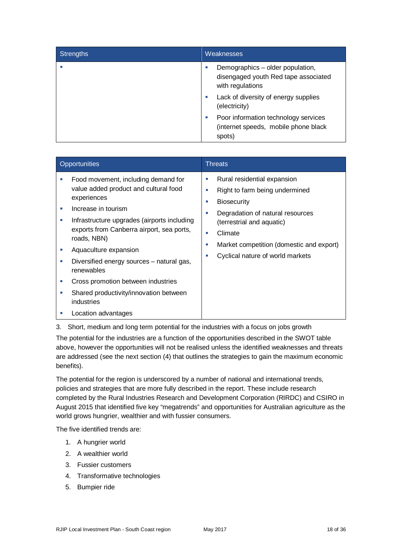| <b>Strengths</b> | <b>Weaknesses</b>                                                                            |
|------------------|----------------------------------------------------------------------------------------------|
|                  | Demographics – older population,<br>disengaged youth Red tape associated<br>with regulations |
|                  | Lack of diversity of energy supplies<br>(electricity)                                        |
|                  | Poor information technology services<br>(internet speeds, mobile phone black)<br>spots)      |

| Opportunities          |                                                                                                                                                                                                                                                                                                                                                                                                                                        | <b>Threats</b>                                                                                                                                                                                                                                                       |  |
|------------------------|----------------------------------------------------------------------------------------------------------------------------------------------------------------------------------------------------------------------------------------------------------------------------------------------------------------------------------------------------------------------------------------------------------------------------------------|----------------------------------------------------------------------------------------------------------------------------------------------------------------------------------------------------------------------------------------------------------------------|--|
| ш<br>a.<br>п<br>ш<br>ш | Food movement, including demand for<br>value added product and cultural food<br>experiences<br>Increase in tourism<br>Infrastructure upgrades (airports including<br>exports from Canberra airport, sea ports,<br>roads, NBN)<br>Aquaculture expansion<br>Diversified energy sources - natural gas,<br>renewables<br>Cross promotion between industries<br>Shared productivity/innovation between<br>industries<br>Location advantages | Rural residential expansion<br>п<br>Right to farm being undermined<br><b>Biosecurity</b><br>п<br>Degradation of natural resources<br>m<br>(terrestrial and aquatic)<br>Climate<br>m.<br>Market competition (domestic and export)<br>Cyclical nature of world markets |  |

3. Short, medium and long term potential for the industries with a focus on jobs growth

The potential for the industries are a function of the opportunities described in the SWOT table above, however the opportunities will not be realised unless the identified weaknesses and threats are addressed (see the next section (4) that outlines the strategies to gain the maximum economic benefits).

The potential for the region is underscored by a number of national and international trends, policies and strategies that are more fully described in the report. These include research completed by the Rural Industries Research and Development Corporation (RIRDC) and CSIRO in August 2015 that identified five key "megatrends" and opportunities for Australian agriculture as the world grows hungrier, wealthier and with fussier consumers.

The five identified trends are:

- 1. A hungrier world
- 2. A wealthier world
- 3. Fussier customers
- 4. Transformative technologies
- 5. Bumpier ride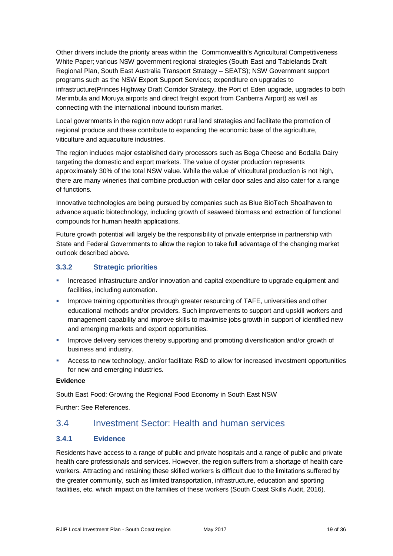Other drivers include the priority areas within the Commonwealth's Agricultural Competitiveness White Paper; various NSW government regional strategies (South East and Tablelands Draft Regional Plan, South East Australia Transport Strategy – SEATS); NSW Government support programs such as the NSW Export Support Services; expenditure on upgrades to infrastructure(Princes Highway Draft Corridor Strategy, the Port of Eden upgrade, upgrades to both Merimbula and Moruya airports and direct freight export from Canberra Airport) as well as connecting with the international inbound tourism market.

Local governments in the region now adopt rural land strategies and facilitate the promotion of regional produce and these contribute to expanding the economic base of the agriculture, viticulture and aquaculture industries.

The region includes major established dairy processors such as Bega Cheese and Bodalla Dairy targeting the domestic and export markets. The value of oyster production represents approximately 30% of the total NSW value. While the value of viticultural production is not high, there are many wineries that combine production with cellar door sales and also cater for a range of functions.

Innovative technologies are being pursued by companies such as Blue BioTech Shoalhaven to advance aquatic biotechnology, including growth of seaweed biomass and extraction of functional compounds for human health applications.

Future growth potential will largely be the responsibility of private enterprise in partnership with State and Federal Governments to allow the region to take full advantage of the changing market outlook described above.

#### **3.3.2 Strategic priorities**

- Increased infrastructure and/or innovation and capital expenditure to upgrade equipment and facilities, including automation.
- **IMPROVE TRAINITY IN SUMPT THE STATE IN STATE IN STATE IN STATE IN STATE IN STATE IN STATE IN STATE IN STATE I** educational methods and/or providers. Such improvements to support and upskill workers and management capability and improve skills to maximise jobs growth in support of identified new and emerging markets and export opportunities.
- **IMPROVE delivery services thereby supporting and promoting diversification and/or growth of** business and industry.
- Access to new technology, and/or facilitate R&D to allow for increased investment opportunities for new and emerging industries.

#### **Evidence**

South East Food: Growing the Regional Food Economy in South East NSW

Further: See References.

### 3.4 Investment Sector: Health and human services

#### **3.4.1 Evidence**

Residents have access to a range of public and private hospitals and a range of public and private health care professionals and services. However, the region suffers from a shortage of health care workers. Attracting and retaining these skilled workers is difficult due to the limitations suffered by the greater community, such as limited transportation, infrastructure, education and sporting facilities, etc. which impact on the families of these workers (South Coast Skills Audit, 2016).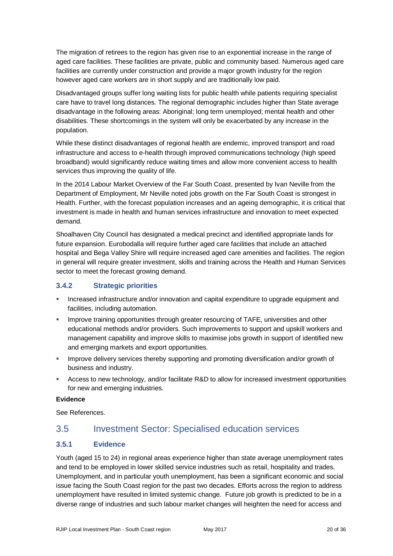The migration of retirees to the region has given rise to an exponential increase in the range of aged care facilities. These facilities are private, public and community based. Numerous aged care facilities are currently under construction and provide a major growth industry for the region however aged care workers are in short supply and are traditionally low paid.

Disadvantaged groups suffer long waiting lists for public health while patients requiring specialist care have to travel long distances. The regional demographic includes higher than State average disadvantage in the following areas: Aboriginal; long term unemployed; mental health and other disabilities. These shortcomings in the system will only be exacerbated by any increase in the population.

While these distinct disadvantages of regional health are endemic, improved transport and road infrastructure and access to e-health through improved communications technology (high speed broadband) would significantly reduce waiting times and allow more convenient access to health services thus improving the quality of life.

In the 2014 Labour Market Overview of the Far South Coast, presented by Ivan Neville from the Department of Employment, Mr Neville noted jobs growth on the Far South Coast is strongest in Health. Further, with the forecast population increases and an ageing demographic, it is critical that investment is made in health and human services infrastructure and innovation to meet expected demand.

Shoalhaven City Council has designated a medical precinct and identified appropriate lands for future expansion. Eurobodalla will require further aged care facilities that include an attached hospital and Bega Valley Shire will require increased aged care amenities and facilities. The region in general will require greater investment, skills and training across the Health and Human Services sector to meet the forecast growing demand.

#### **3.4.2 Strategic priorities**

- Increased infrastructure and/or innovation and capital expenditure to upgrade equipment and facilities, including automation.
- **IMPROVE TRAINITY IN SUMPT THE STATE IN STATE IN STATE IN STATE IN STATE IN STATE IN STATE IN STATE IN STATE IN STATE IN STATE IN STATE IN STATE IN STATE IN STATE IN STATE IN STATE IN STATE IN STATE IN STATE IN STATE IN ST** educational methods and/or providers. Such improvements to support and upskill workers and management capability and improve skills to maximise jobs growth in support of identified new and emerging markets and export opportunities.
- **IMPROVE DELIVERS** Improve delivery services thereby supporting and promoting diversification and/or growth of business and industry.
- Access to new technology, and/or facilitate R&D to allow for increased investment opportunities for new and emerging industries.

#### **Evidence**

See References.

## 3.5 Investment Sector: Specialised education services

#### **3.5.1 Evidence**

Youth (aged 15 to 24) in regional areas experience higher than state average unemployment rates and tend to be employed in lower skilled service industries such as retail, hospitality and trades. Unemployment, and in particular youth unemployment, has been a significant economic and social issue facing the South Coast region for the past two decades. Efforts across the region to address unemployment have resulted in limited systemic change. Future job growth is predicted to be in a diverse range of industries and such labour market changes will heighten the need for access and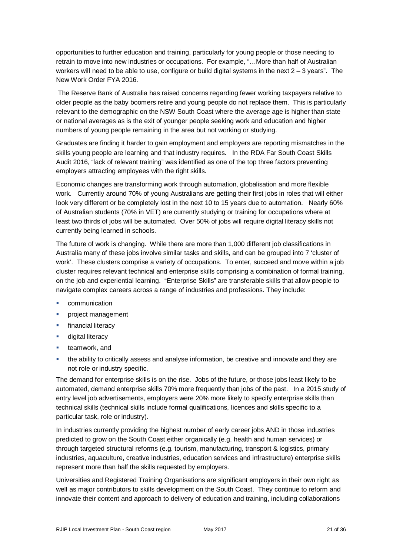opportunities to further education and training, particularly for young people or those needing to retrain to move into new industries or occupations. For example, "…More than half of Australian workers will need to be able to use, configure or build digital systems in the next  $2 - 3$  years". The New Work Order FYA 2016.

The Reserve Bank of Australia has raised concerns regarding fewer working taxpayers relative to older people as the baby boomers retire and young people do not replace them. This is particularly relevant to the demographic on the NSW South Coast where the average age is higher than state or national averages as is the exit of younger people seeking work and education and higher numbers of young people remaining in the area but not working or studying.

Graduates are finding it harder to gain employment and employers are reporting mismatches in the skills young people are learning and that industry requires. In the RDA Far South Coast Skills Audit 2016, "lack of relevant training" was identified as one of the top three factors preventing employers attracting employees with the right skills.

Economic changes are transforming work through automation, globalisation and more flexible work. Currently around 70% of young Australians are getting their first jobs in roles that will either look very different or be completely lost in the next 10 to 15 years due to automation. Nearly 60% of Australian students (70% in VET) are currently studying or training for occupations where at least two thirds of jobs will be automated. Over 50% of jobs will require digital literacy skills not currently being learned in schools.

The future of work is changing. While there are more than 1,000 different job classifications in Australia many of these jobs involve similar tasks and skills, and can be grouped into 7 'cluster of work'. These clusters comprise a variety of occupations. To enter, succeed and move within a job cluster requires relevant technical and enterprise skills comprising a combination of formal training, on the job and experiential learning. "Enterprise Skills" are transferable skills that allow people to navigate complex careers across a range of industries and professions. They include:

- **•** communication
- **project management**
- **financial literacy**
- **digital literacy**
- teamwork, and
- the ability to critically assess and analyse information, be creative and innovate and they are not role or industry specific.

The demand for enterprise skills is on the rise. Jobs of the future, or those jobs least likely to be automated, demand enterprise skills 70% more frequently than jobs of the past. In a 2015 study of entry level job advertisements, employers were 20% more likely to specify enterprise skills than technical skills (technical skills include formal qualifications, licences and skills specific to a particular task, role or industry).

In industries currently providing the highest number of early career jobs AND in those industries predicted to grow on the South Coast either organically (e.g. health and human services) or through targeted structural reforms (e.g. tourism, manufacturing, transport & logistics, primary industries, aquaculture, creative industries, education services and infrastructure) enterprise skills represent more than half the skills requested by employers.

Universities and Registered Training Organisations are significant employers in their own right as well as major contributors to skills development on the South Coast. They continue to reform and innovate their content and approach to delivery of education and training, including collaborations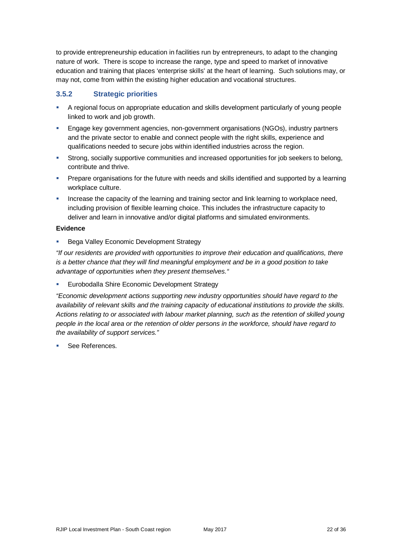to provide entrepreneurship education in facilities run by entrepreneurs, to adapt to the changing nature of work. There is scope to increase the range, type and speed to market of innovative education and training that places 'enterprise skills' at the heart of learning. Such solutions may, or may not, come from within the existing higher education and vocational structures.

#### **3.5.2 Strategic priorities**

- A regional focus on appropriate education and skills development particularly of young people linked to work and job growth.
- Engage key government agencies, non-government organisations (NGOs), industry partners and the private sector to enable and connect people with the right skills, experience and qualifications needed to secure jobs within identified industries across the region.
- Strong, socially supportive communities and increased opportunities for job seekers to belong, contribute and thrive.
- Prepare organisations for the future with needs and skills identified and supported by a learning workplace culture.
- Increase the capacity of the learning and training sector and link learning to workplace need, including provision of flexible learning choice. This includes the infrastructure capacity to deliver and learn in innovative and/or digital platforms and simulated environments.

#### **Evidence**

Bega Valley Economic Development Strategy

*"If our residents are provided with opportunities to improve their education and qualifications, there is a better chance that they will find meaningful employment and be in a good position to take advantage of opportunities when they present themselves."*

Eurobodalla Shire Economic Development Strategy

*"Economic development actions supporting new industry opportunities should have regard to the availability of relevant skills and the training capacity of educational institutions to provide the skills. Actions relating to or associated with labour market planning, such as the retention of skilled young people in the local area or the retention of older persons in the workforce, should have regard to the availability of support services."*

See References.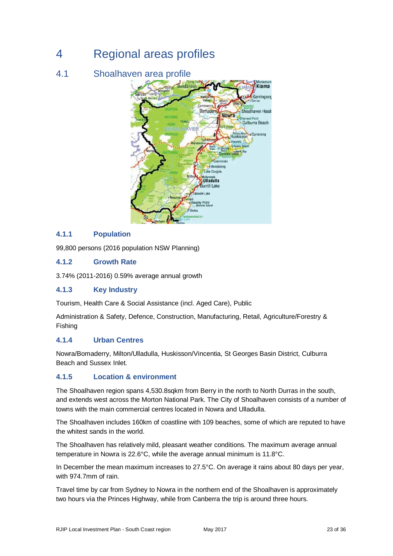## 4 Regional areas profiles

## 4.1 Shoalhaven area profile



#### **4.1.1 Population**

99,800 persons (2016 population NSW Planning)

#### **4.1.2 Growth Rate**

3.74% (2011-2016) 0.59% average annual growth

#### **4.1.3 Key Industry**

Tourism, Health Care & Social Assistance (incl. Aged Care), Public

Administration & Safety, Defence, Construction, Manufacturing, Retail, Agriculture/Forestry & Fishing

#### **4.1.4 Urban Centres**

Nowra/Bomaderry, Milton/Ulladulla, Huskisson/Vincentia, St Georges Basin District, Culburra Beach and Sussex Inlet.

#### **4.1.5 Location & environment**

The Shoalhaven region spans 4,530.8sqkm from Berry in the north to North Durras in the south, and extends west across the Morton National Park. The City of Shoalhaven consists of a number of towns with the main commercial centres located in Nowra and Ulladulla.

The Shoalhaven includes 160km of coastline with 109 beaches, some of which are reputed to have the whitest sands in the world.

The Shoalhaven has relatively mild, pleasant weather conditions. The maximum average annual temperature in Nowra is 22.6°C, while the average annual minimum is 11.8°C.

In December the mean maximum increases to 27.5°C. On average it rains about 80 days per year, with 974.7mm of rain.

Travel time by car from Sydney to Nowra in the northern end of the Shoalhaven is approximately two hours via the Princes Highway, while from Canberra the trip is around three hours.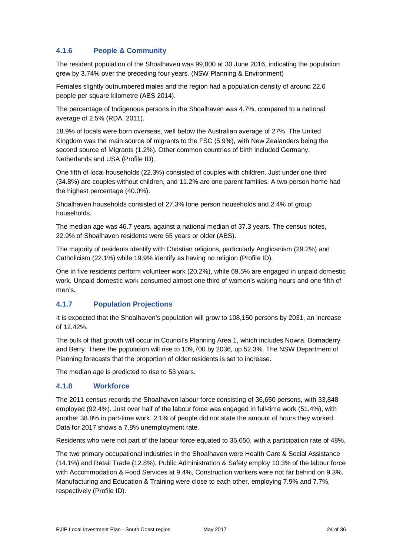#### **4.1.6 People & Community**

The resident population of the Shoalhaven was 99,800 at 30 June 2016, indicating the population grew by 3.74% over the preceding four years. (NSW Planning & Environment)

Females slightly outnumbered males and the region had a population density of around 22.6 people per square kilometre (ABS 2014).

The percentage of Indigenous persons in the Shoalhaven was 4.7%, compared to a national average of 2.5% (RDA, 2011).

18.9% of locals were born overseas, well below the Australian average of 27%. The United Kingdom was the main source of migrants to the FSC (5.9%), with New Zealanders being the second source of Migrants (1.2%). Other common countries of birth included Germany, Netherlands and USA (Profile ID).

One fifth of local households (22.3%) consisted of couples with children. Just under one third (34.8%) are couples without children, and 11.2% are one parent families. A two person home had the highest percentage (40.0%).

Shoalhaven households consisted of 27.3% lone person households and 2.4% of group households.

The median age was 46.7 years, against a national median of 37.3 years. The census notes, 22.9% of Shoalhaven residents were 65 years or older (ABS).

The majority of residents identify with Christian religions, particularly Anglicanism (29.2%) and Catholicism (22.1%) while 19.9% identify as having no religion (Profile ID).

One in five residents perform volunteer work (20.2%), while 69.5% are engaged in unpaid domestic work. Unpaid domestic work consumed almost one third of women's waking hours and one fifth of men's.

#### **4.1.7 Population Projections**

It is expected that the Shoalhaven's population will grow to 108,150 persons by 2031, an increase of 12.42%.

The bulk of that growth will occur in Council's Planning Area 1, which includes Nowra, Bomaderry and Berry. There the population will rise to 109,700 by 2036, up 52.3%. The NSW Department of Planning forecasts that the proportion of older residents is set to increase.

The median age is predicted to rise to 53 years.

#### **4.1.8 Workforce**

The 2011 census records the Shoalhaven labour force consisting of 36,650 persons, with 33,848 employed (92.4%). Just over half of the labour force was engaged in full-time work (51.4%), with another 38.8% in part-time work. 2.1% of people did not state the amount of hours they worked. Data for 2017 shows a 7.8% unemployment rate.

Residents who were not part of the labour force equated to 35,650, with a participation rate of 48%.

The two primary occupational industries in the Shoalhaven were Health Care & Social Assistance (14.1%) and Retail Trade (12.8%). Public Administration & Safety employ 10.3% of the labour force with Accommodation & Food Services at 9.4%, Construction workers were not far behind on 9.3%. Manufacturing and Education & Training were close to each other, employing 7.9% and 7.7%, respectively (Profile ID).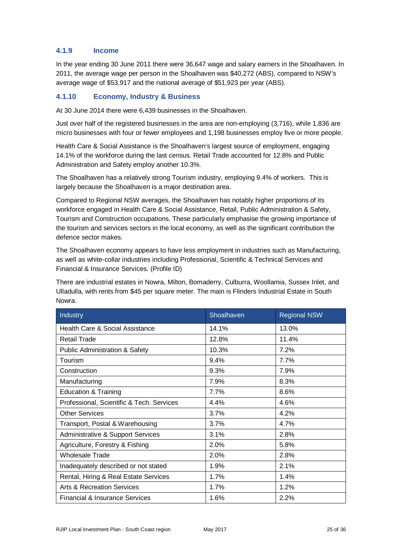#### **4.1.9 Income**

In the year ending 30 June 2011 there were 36,647 wage and salary earners in the Shoalhaven. In 2011, the average wage per person in the Shoalhaven was \$40,272 (ABS), compared to NSW's average wage of \$53,917 and the national average of \$51,923 per year (ABS).

#### **4.1.10 Economy, Industry & Business**

At 30 June 2014 there were 6,439 businesses in the Shoalhaven.

Just over half of the registered businesses in the area are non-employing (3,716), while 1,836 are micro businesses with four or fewer employees and 1,198 businesses employ five or more people.

Health Care & Social Assistance is the Shoalhaven's largest source of employment, engaging 14.1% of the workforce during the last census. Retail Trade accounted for 12.8% and Public Administration and Safety employ another 10.3%.

The Shoalhaven has a relatively strong Tourism industry, employing 9.4% of workers. This is largely because the Shoalhaven is a major destination area.

Compared to Regional NSW averages, the Shoalhaven has notably higher proportions of its workforce engaged in Health Care & Social Assistance, Retail, Public Administration & Safety, Tourism and Construction occupations. These particularly emphasise the growing importance of the tourism and services sectors in the local economy, as well as the significant contribution the defence sector makes.

The Shoalhaven economy appears to have less employment in industries such as Manufacturing, as well as white-collar industries including Professional, Scientific & Technical Services and Financial & Insurance Services. (Profile ID)

There are industrial estates in Nowra, Milton, Bomaderry, Culburra, Woollamia, Sussex Inlet, and Ulladulla, with rents from \$45 per square meter. The main is Flinders Industrial Estate in South Nowra.

| Industry                                     | Shoalhaven | <b>Regional NSW</b> |
|----------------------------------------------|------------|---------------------|
| Health Care & Social Assistance              | 14.1%      | 13.0%               |
| <b>Retail Trade</b>                          | 12.8%      | 11.4%               |
| <b>Public Administration &amp; Safety</b>    | 10.3%      | 7.2%                |
| Tourism                                      | 9.4%       | 7.7%                |
| Construction                                 | 9.3%       | 7.9%                |
| Manufacturing                                | 7.9%       | 8.3%                |
| <b>Education &amp; Training</b>              | 7.7%       | 8.6%                |
| Professional, Scientific & Tech. Services    | 4.4%       | 4.6%                |
| <b>Other Services</b>                        | 3.7%       | 4.2%                |
| Transport, Postal & Warehousing              | 3.7%       | 4.7%                |
| <b>Administrative &amp; Support Services</b> | 3.1%       | 2.8%                |
| Agriculture, Forestry & Fishing              | 2.0%       | 5.8%                |
| <b>Wholesale Trade</b>                       | 2.0%       | 2.8%                |
| Inadequately described or not stated         | 1.9%       | 2.1%                |
| Rental, Hiring & Real Estate Services        | 1.7%       | 1.4%                |
| Arts & Recreation Services                   | 1.7%       | 1.2%                |
| <b>Financial &amp; Insurance Services</b>    | 1.6%       | 2.2%                |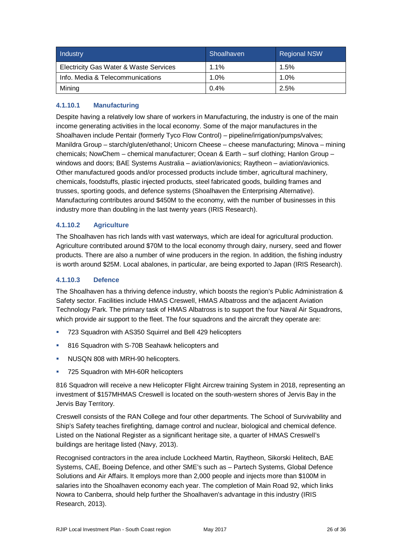| Industry                               | Shoalhaven | <b>Regional NSW</b> |
|----------------------------------------|------------|---------------------|
| Electricity Gas Water & Waste Services | 1.1%       | $1.5\%$             |
| Info. Media & Telecommunications       | $1.0\%$    | 1.0%                |
| Mining                                 | 0.4%       | 2.5%                |

#### **4.1.10.1 Manufacturing**

Despite having a relatively low share of workers in Manufacturing, the industry is one of the main income generating activities in the local economy. Some of the major manufactures in the Shoalhaven include Pentair (formerly Tyco Flow Control) – pipeline/irrigation/pumps/valves; Manildra Group – starch/gluten/ethanol; Unicorn Cheese – cheese manufacturing; Minova – mining chemicals; NowChem – chemical manufacturer; Ocean & Earth – surf clothing; Hanlon Group – windows and doors; BAE Systems Australia – aviation/avionics; Raytheon – aviation/avionics. Other manufactured goods and/or processed products include timber, agricultural machinery, chemicals, foodstuffs, plastic injected products, steel fabricated goods, building frames and trusses, sporting goods, and defence systems (Shoalhaven the Enterprising Alternative). Manufacturing contributes around \$450M to the economy, with the number of businesses in this industry more than doubling in the last twenty years (IRIS Research).

#### **4.1.10.2 Agriculture**

The Shoalhaven has rich lands with vast waterways, which are ideal for agricultural production. Agriculture contributed around \$70M to the local economy through dairy, nursery, seed and flower products. There are also a number of wine producers in the region. In addition, the fishing industry is worth around \$25M. Local abalones, in particular, are being exported to Japan (IRIS Research).

#### **4.1.10.3 Defence**

The Shoalhaven has a thriving defence industry, which boosts the region's Public Administration & Safety sector. Facilities include HMAS Creswell, HMAS Albatross and the adjacent Aviation Technology Park. The primary task of HMAS Albatross is to support the four Naval Air Squadrons, which provide air support to the fleet. The four squadrons and the aircraft they operate are:

- 723 Squadron with AS350 Squirrel and Bell 429 helicopters
- 816 Squadron with S-70B Seahawk helicopters and
- **NUSQN 808 with MRH-90 helicopters.**
- 725 Squadron with MH-60R helicopters

816 Squadron will receive a new Helicopter Flight Aircrew training System in 2018, representing an investment of \$157MHMAS Creswell is located on the south-western shores of Jervis Bay in the Jervis Bay Territory.

Creswell consists of the RAN College and four other departments. The School of Survivability and Ship's Safety teaches firefighting, damage control and nuclear, biological and chemical defence. Listed on the National Register as a significant heritage site, a quarter of HMAS Creswell's buildings are heritage listed (Navy, 2013).

Recognised contractors in the area include Lockheed Martin, Raytheon, Sikorski Helitech, BAE Systems, CAE, Boeing Defence, and other SME's such as – Partech Systems, Global Defence Solutions and Air Affairs. It employs more than 2,000 people and injects more than \$100M in salaries into the Shoalhaven economy each year. The completion of Main Road 92, which links Nowra to Canberra, should help further the Shoalhaven's advantage in this industry (IRIS Research, 2013).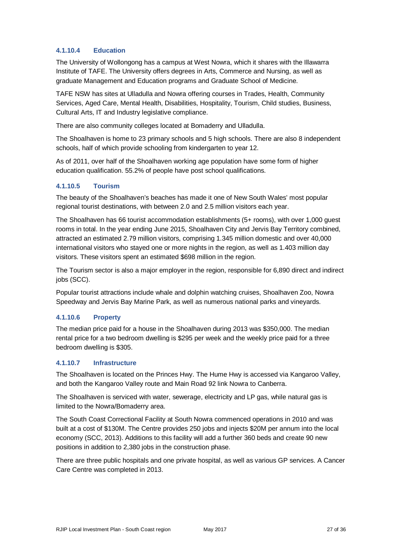#### **4.1.10.4 Education**

The University of Wollongong has a campus at West Nowra, which it shares with the Illawarra Institute of TAFE. The University offers degrees in Arts, Commerce and Nursing, as well as graduate Management and Education programs and Graduate School of Medicine.

TAFE NSW has sites at Ulladulla and Nowra offering courses in Trades, Health, Community Services, Aged Care, Mental Health, Disabilities, Hospitality, Tourism, Child studies, Business, Cultural Arts, IT and Industry legislative compliance.

There are also community colleges located at Bomaderry and Ulladulla.

The Shoalhaven is home to 23 primary schools and 5 high schools. There are also 8 independent schools, half of which provide schooling from kindergarten to year 12.

As of 2011, over half of the Shoalhaven working age population have some form of higher education qualification. 55.2% of people have post school qualifications.

#### **4.1.10.5 Tourism**

The beauty of the Shoalhaven's beaches has made it one of New South Wales' most popular regional tourist destinations, with between 2.0 and 2.5 million visitors each year.

The Shoalhaven has 66 tourist accommodation establishments (5+ rooms), with over 1,000 guest rooms in total. In the year ending June 2015, Shoalhaven City and Jervis Bay Territory combined, attracted an estimated 2.79 million visitors, comprising 1.345 million domestic and over 40,000 international visitors who stayed one or more nights in the region, as well as 1.403 million day visitors. These visitors spent an estimated \$698 million in the region.

The Tourism sector is also a major employer in the region, responsible for 6,890 direct and indirect jobs (SCC).

Popular tourist attractions include whale and dolphin watching cruises, Shoalhaven Zoo, Nowra Speedway and Jervis Bay Marine Park, as well as numerous national parks and vineyards.

#### **4.1.10.6 Property**

The median price paid for a house in the Shoalhaven during 2013 was \$350,000. The median rental price for a two bedroom dwelling is \$295 per week and the weekly price paid for a three bedroom dwelling is \$305.

#### **4.1.10.7 Infrastructure**

The Shoalhaven is located on the Princes Hwy. The Hume Hwy is accessed via Kangaroo Valley, and both the Kangaroo Valley route and Main Road 92 link Nowra to Canberra.

The Shoalhaven is serviced with water, sewerage, electricity and LP gas, while natural gas is limited to the Nowra/Bomaderry area.

The South Coast Correctional Facility at South Nowra commenced operations in 2010 and was built at a cost of \$130M. The Centre provides 250 jobs and injects \$20M per annum into the local economy (SCC, 2013). Additions to this facility will add a further 360 beds and create 90 new positions in addition to 2,380 jobs in the construction phase.

There are three public hospitals and one private hospital, as well as various GP services. A Cancer Care Centre was completed in 2013.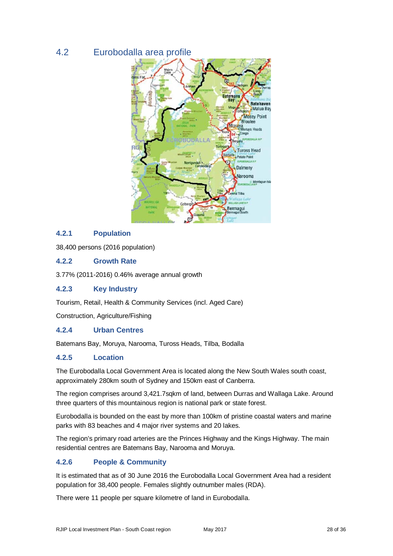## 4.2 Eurobodalla area profile



#### **4.2.1 Population**

38,400 persons (2016 population)

#### **4.2.2 Growth Rate**

3.77% (2011-2016) 0.46% average annual growth

#### **4.2.3 Key Industry**

Tourism, Retail, Health & Community Services (incl. Aged Care)

Construction, Agriculture/Fishing

#### **4.2.4 Urban Centres**

Batemans Bay, Moruya, Narooma, Tuross Heads, Tilba, Bodalla

#### **4.2.5 Location**

The Eurobodalla Local Government Area is located along the New South Wales south coast, approximately 280km south of Sydney and 150km east of Canberra.

The region comprises around 3,421.7sqkm of land, between Durras and Wallaga Lake. Around three quarters of this mountainous region is national park or state forest.

Eurobodalla is bounded on the east by more than 100km of pristine coastal waters and marine parks with 83 beaches and 4 major river systems and 20 lakes.

The region's primary road arteries are the Princes Highway and the Kings Highway. The main residential centres are Batemans Bay, Narooma and Moruya.

#### **4.2.6 People & Community**

It is estimated that as of 30 June 2016 the Eurobodalla Local Government Area had a resident population for 38,400 people. Females slightly outnumber males (RDA).

There were 11 people per square kilometre of land in Eurobodalla.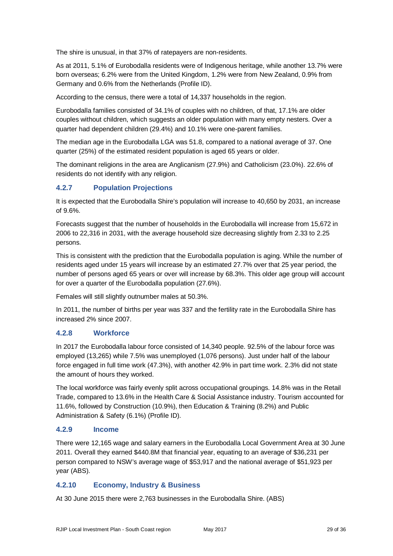The shire is unusual, in that 37% of ratepayers are non-residents.

As at 2011, 5.1% of Eurobodalla residents were of Indigenous heritage, while another 13.7% were born overseas; 6.2% were from the United Kingdom, 1.2% were from New Zealand, 0.9% from Germany and 0.6% from the Netherlands (Profile ID).

According to the census, there were a total of 14,337 households in the region.

Eurobodalla families consisted of 34.1% of couples with no children, of that, 17.1% are older couples without children, which suggests an older population with many empty nesters. Over a quarter had dependent children (29.4%) and 10.1% were one-parent families.

The median age in the Eurobodalla LGA was 51.8, compared to a national average of 37. One quarter (25%) of the estimated resident population is aged 65 years or older.

The dominant religions in the area are Anglicanism (27.9%) and Catholicism (23.0%). 22.6% of residents do not identify with any religion.

#### **4.2.7 Population Projections**

It is expected that the Eurobodalla Shire's population will increase to 40,650 by 2031, an increase of 9.6%.

Forecasts suggest that the number of households in the Eurobodalla will increase from 15,672 in 2006 to 22,316 in 2031, with the average household size decreasing slightly from 2.33 to 2.25 persons.

This is consistent with the prediction that the Eurobodalla population is aging. While the number of residents aged under 15 years will increase by an estimated 27.7% over that 25 year period, the number of persons aged 65 years or over will increase by 68.3%. This older age group will account for over a quarter of the Eurobodalla population (27.6%).

Females will still slightly outnumber males at 50.3%.

In 2011, the number of births per year was 337 and the fertility rate in the Eurobodalla Shire has increased 2% since 2007.

#### **4.2.8 Workforce**

In 2017 the Eurobodalla labour force consisted of 14,340 people. 92.5% of the labour force was employed (13,265) while 7.5% was unemployed (1,076 persons). Just under half of the labour force engaged in full time work (47.3%), with another 42.9% in part time work. 2.3% did not state the amount of hours they worked.

The local workforce was fairly evenly split across occupational groupings. 14.8% was in the Retail Trade, compared to 13.6% in the Health Care & Social Assistance industry. Tourism accounted for 11.6%, followed by Construction (10.9%), then Education & Training (8.2%) and Public Administration & Safety (6.1%) (Profile ID).

#### **4.2.9 Income**

There were 12,165 wage and salary earners in the Eurobodalla Local Government Area at 30 June 2011. Overall they earned \$440.8M that financial year, equating to an average of \$36,231 per person compared to NSW's average wage of \$53,917 and the national average of \$51,923 per year (ABS).

#### **4.2.10 Economy, Industry & Business**

At 30 June 2015 there were 2,763 businesses in the Eurobodalla Shire. (ABS)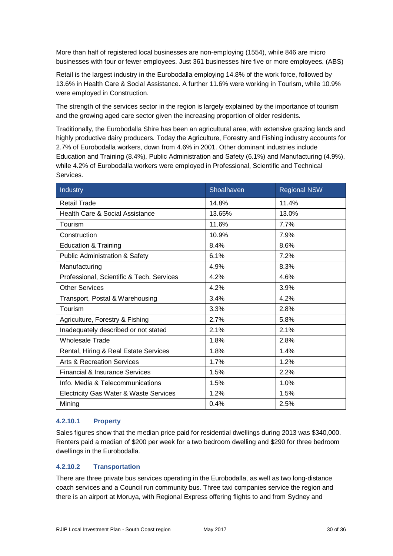More than half of registered local businesses are non-employing (1554), while 846 are micro businesses with four or fewer employees. Just 361 businesses hire five or more employees. (ABS)

Retail is the largest industry in the Eurobodalla employing 14.8% of the work force, followed by 13.6% in Health Care & Social Assistance. A further 11.6% were working in Tourism, while 10.9% were employed in Construction.

The strength of the services sector in the region is largely explained by the importance of tourism and the growing aged care sector given the increasing proportion of older residents.

Traditionally, the Eurobodalla Shire has been an agricultural area, with extensive grazing lands and highly productive dairy producers. Today the Agriculture, Forestry and Fishing industry accounts for 2.7% of Eurobodalla workers, down from 4.6% in 2001. Other dominant industries include Education and Training (8.4%), Public Administration and Safety (6.1%) and Manufacturing (4.9%), while 4.2% of Eurobodalla workers were employed in Professional, Scientific and Technical Services.

| Industry                                  | Shoalhaven | <b>Regional NSW</b> |
|-------------------------------------------|------------|---------------------|
| <b>Retail Trade</b>                       | 14.8%      | 11.4%               |
| Health Care & Social Assistance           | 13.65%     | 13.0%               |
| Tourism                                   | 11.6%      | 7.7%                |
| Construction                              | 10.9%      | 7.9%                |
| <b>Education &amp; Training</b>           | 8.4%       | 8.6%                |
| <b>Public Administration &amp; Safety</b> | 6.1%       | 7.2%                |
| Manufacturing                             | 4.9%       | 8.3%                |
| Professional, Scientific & Tech. Services | 4.2%       | 4.6%                |
| <b>Other Services</b>                     | 4.2%       | 3.9%                |
| Transport, Postal & Warehousing           | 3.4%       | 4.2%                |
| Tourism                                   | 3.3%       | 2.8%                |
| Agriculture, Forestry & Fishing           | 2.7%       | 5.8%                |
| Inadequately described or not stated      | 2.1%       | 2.1%                |
| <b>Wholesale Trade</b>                    | 1.8%       | 2.8%                |
| Rental, Hiring & Real Estate Services     | 1.8%       | 1.4%                |
| <b>Arts &amp; Recreation Services</b>     | 1.7%       | 1.2%                |
| Financial & Insurance Services            | 1.5%       | 2.2%                |
| Info. Media & Telecommunications          | 1.5%       | 1.0%                |
| Electricity Gas Water & Waste Services    | 1.2%       | 1.5%                |
| Mining                                    | 0.4%       | 2.5%                |

#### **4.2.10.1 Property**

Sales figures show that the median price paid for residential dwellings during 2013 was \$340,000. Renters paid a median of \$200 per week for a two bedroom dwelling and \$290 for three bedroom dwellings in the Eurobodalla.

#### **4.2.10.2 Transportation**

There are three private bus services operating in the Eurobodalla, as well as two long-distance coach services and a Council run community bus. Three taxi companies service the region and there is an airport at Moruya, with Regional Express offering flights to and from Sydney and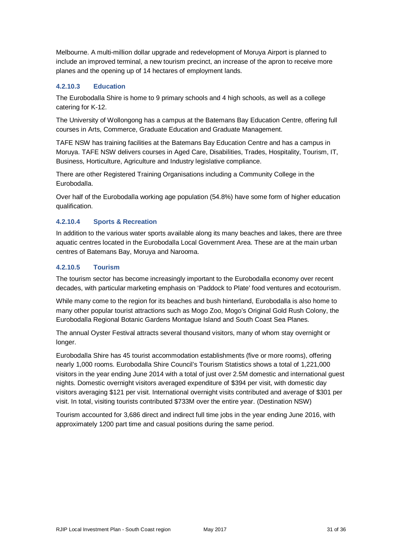Melbourne. A multi-million dollar upgrade and redevelopment of Moruya Airport is planned to include an improved terminal, a new tourism precinct, an increase of the apron to receive more planes and the opening up of 14 hectares of employment lands.

#### **4.2.10.3 Education**

The Eurobodalla Shire is home to 9 primary schools and 4 high schools, as well as a college catering for K-12.

The University of Wollongong has a campus at the Batemans Bay Education Centre, offering full courses in Arts, Commerce, Graduate Education and Graduate Management.

TAFE NSW has training facilities at the Batemans Bay Education Centre and has a campus in Moruya. TAFE NSW delivers courses in Aged Care, Disabilities, Trades, Hospitality, Tourism, IT, Business, Horticulture, Agriculture and Industry legislative compliance.

There are other Registered Training Organisations including a Community College in the Eurobodalla.

Over half of the Eurobodalla working age population (54.8%) have some form of higher education qualification.

#### **4.2.10.4 Sports & Recreation**

In addition to the various water sports available along its many beaches and lakes, there are three aquatic centres located in the Eurobodalla Local Government Area. These are at the main urban centres of Batemans Bay, Moruya and Narooma.

#### **4.2.10.5 Tourism**

The tourism sector has become increasingly important to the Eurobodalla economy over recent decades, with particular marketing emphasis on 'Paddock to Plate' food ventures and ecotourism.

While many come to the region for its beaches and bush hinterland, Eurobodalla is also home to many other popular tourist attractions such as Mogo Zoo, Mogo's Original Gold Rush Colony, the Eurobodalla Regional Botanic Gardens Montague Island and South Coast Sea Planes.

The annual Oyster Festival attracts several thousand visitors, many of whom stay overnight or longer.

Eurobodalla Shire has 45 tourist accommodation establishments (five or more rooms), offering nearly 1,000 rooms. Eurobodalla Shire Council's Tourism Statistics shows a total of 1,221,000 visitors in the year ending June 2014 with a total of just over 2.5M domestic and international guest nights. Domestic overnight visitors averaged expenditure of \$394 per visit, with domestic day visitors averaging \$121 per visit. International overnight visits contributed and average of \$301 per visit. In total, visiting tourists contributed \$733M over the entire year. (Destination NSW)

Tourism accounted for 3,686 direct and indirect full time jobs in the year ending June 2016, with approximately 1200 part time and casual positions during the same period.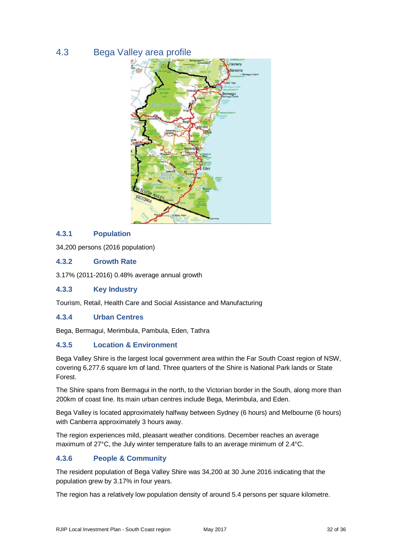## 4.3 Bega Valley area profile



#### **4.3.1 Population**

34,200 persons (2016 population)

#### **4.3.2 Growth Rate**

3.17% (2011-2016) 0.48% average annual growth

#### **4.3.3 Key Industry**

Tourism, Retail, Health Care and Social Assistance and Manufacturing

#### **4.3.4 Urban Centres**

Bega, Bermagui, Merimbula, Pambula, Eden, Tathra

#### **4.3.5 Location & Environment**

Bega Valley Shire is the largest local government area within the Far South Coast region of NSW, covering 6,277.6 square km of land. Three quarters of the Shire is National Park lands or State Forest.

The Shire spans from Bermagui in the north, to the Victorian border in the South, along more than 200km of coast line. Its main urban centres include Bega, Merimbula, and Eden.

Bega Valley is located approximately halfway between Sydney (6 hours) and Melbourne (6 hours) with Canberra approximately 3 hours away.

The region experiences mild, pleasant weather conditions. December reaches an average maximum of 27°C, the July winter temperature falls to an average minimum of 2.4°C.

#### **4.3.6 People & Community**

The resident population of Bega Valley Shire was 34,200 at 30 June 2016 indicating that the population grew by 3.17% in four years.

The region has a relatively low population density of around 5.4 persons per square kilometre.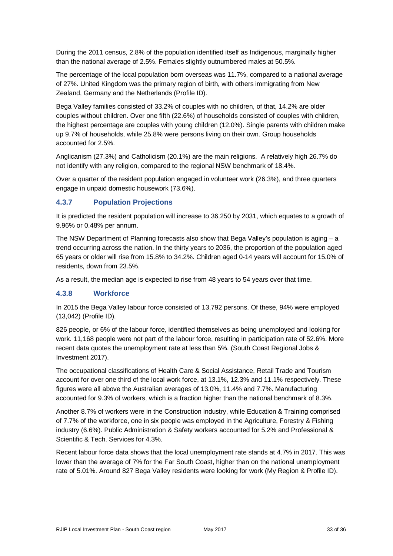During the 2011 census, 2.8% of the population identified itself as Indigenous, marginally higher than the national average of 2.5%. Females slightly outnumbered males at 50.5%.

The percentage of the local population born overseas was 11.7%, compared to a national average of 27%. United Kingdom was the primary region of birth, with others immigrating from New Zealand, Germany and the Netherlands (Profile ID).

Bega Valley families consisted of 33.2% of couples with no children, of that, 14.2% are older couples without children. Over one fifth (22.6%) of households consisted of couples with children, the highest percentage are couples with young children (12.0%). Single parents with children make up 9.7% of households, while 25.8% were persons living on their own. Group households accounted for 2.5%.

Anglicanism (27.3%) and Catholicism (20.1%) are the main religions. A relatively high 26.7% do not identify with any religion, compared to the regional NSW benchmark of 18.4%.

Over a quarter of the resident population engaged in volunteer work (26.3%), and three quarters engage in unpaid domestic housework (73.6%).

#### **4.3.7 Population Projections**

It is predicted the resident population will increase to 36,250 by 2031, which equates to a growth of 9.96% or 0.48% per annum.

The NSW Department of Planning forecasts also show that Bega Valley's population is aging – a trend occurring across the nation. In the thirty years to 2036, the proportion of the population aged 65 years or older will rise from 15.8% to 34.2%. Children aged 0-14 years will account for 15.0% of residents, down from 23.5%.

As a result, the median age is expected to rise from 48 years to 54 years over that time.

#### **4.3.8 Workforce**

In 2015 the Bega Valley labour force consisted of 13,792 persons. Of these, 94% were employed (13,042) (Profile ID).

826 people, or 6% of the labour force, identified themselves as being unemployed and looking for work. 11,168 people were not part of the labour force, resulting in participation rate of 52.6%. More recent data quotes the unemployment rate at less than 5%. (South Coast Regional Jobs & Investment 2017).

The occupational classifications of Health Care & Social Assistance, Retail Trade and Tourism account for over one third of the local work force, at 13.1%, 12.3% and 11.1% respectively. These figures were all above the Australian averages of 13.0%, 11.4% and 7.7%. Manufacturing accounted for 9.3% of workers, which is a fraction higher than the national benchmark of 8.3%.

Another 8.7% of workers were in the Construction industry, while Education & Training comprised of 7.7% of the workforce, one in six people was employed in the Agriculture, Forestry & Fishing industry (6.6%). Public Administration & Safety workers accounted for 5.2% and Professional & Scientific & Tech. Services for 4.3%.

Recent labour force data shows that the local unemployment rate stands at 4.7% in 2017. This was lower than the average of 7% for the Far South Coast, higher than on the national unemployment rate of 5.01%. Around 827 Bega Valley residents were looking for work (My Region & Profile ID).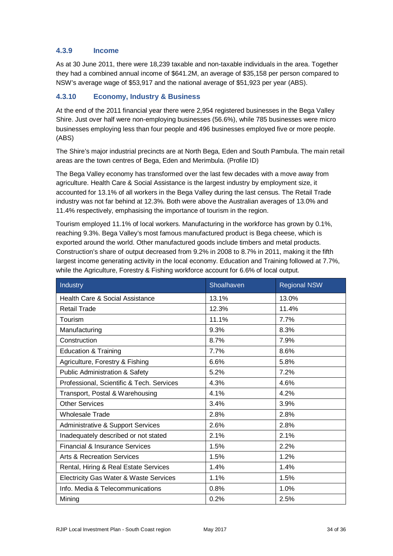#### **4.3.9 Income**

As at 30 June 2011, there were 18,239 taxable and non-taxable individuals in the area. Together they had a combined annual income of \$641.2M, an average of \$35,158 per person compared to NSW's average wage of \$53,917 and the national average of \$51,923 per year (ABS).

#### **4.3.10 Economy, Industry & Business**

At the end of the 2011 financial year there were 2,954 registered businesses in the Bega Valley Shire. Just over half were non-employing businesses (56.6%), while 785 businesses were micro businesses employing less than four people and 496 businesses employed five or more people. (ABS)

The Shire's major industrial precincts are at North Bega, Eden and South Pambula. The main retail areas are the town centres of Bega, Eden and Merimbula. (Profile ID)

The Bega Valley economy has transformed over the last few decades with a move away from agriculture. Health Care & Social Assistance is the largest industry by employment size, it accounted for 13.1% of all workers in the Bega Valley during the last census. The Retail Trade industry was not far behind at 12.3%. Both were above the Australian averages of 13.0% and 11.4% respectively, emphasising the importance of tourism in the region.

Tourism employed 11.1% of local workers. Manufacturing in the workforce has grown by 0.1%, reaching 9.3%. Bega Valley's most famous manufactured product is Bega cheese, which is exported around the world. Other manufactured goods include timbers and metal products. Construction's share of output decreased from 9.2% in 2008 to 8.7% in 2011, making it the fifth largest income generating activity in the local economy. Education and Training followed at 7.7%, while the Agriculture, Forestry & Fishing workforce account for 6.6% of local output.

| Industry                                  | Shoalhaven | <b>Regional NSW</b> |
|-------------------------------------------|------------|---------------------|
| Health Care & Social Assistance           | 13.1%      | 13.0%               |
| <b>Retail Trade</b>                       | 12.3%      | 11.4%               |
| Tourism                                   | 11.1%      | 7.7%                |
| Manufacturing                             | 9.3%       | 8.3%                |
| Construction                              | 8.7%       | 7.9%                |
| <b>Education &amp; Training</b>           | 7.7%       | 8.6%                |
| Agriculture, Forestry & Fishing           | 6.6%       | 5.8%                |
| <b>Public Administration &amp; Safety</b> | 5.2%       | 7.2%                |
| Professional, Scientific & Tech. Services | 4.3%       | 4.6%                |
| Transport, Postal & Warehousing           | 4.1%       | 4.2%                |
| <b>Other Services</b>                     | 3.4%       | 3.9%                |
| <b>Wholesale Trade</b>                    | 2.8%       | 2.8%                |
| Administrative & Support Services         | 2.6%       | 2.8%                |
| Inadequately described or not stated      | 2.1%       | 2.1%                |
| <b>Financial &amp; Insurance Services</b> | 1.5%       | 2.2%                |
| <b>Arts &amp; Recreation Services</b>     | 1.5%       | 1.2%                |
| Rental, Hiring & Real Estate Services     | 1.4%       | 1.4%                |
| Electricity Gas Water & Waste Services    | 1.1%       | 1.5%                |
| Info. Media & Telecommunications          | 0.8%       | 1.0%                |
| Mining                                    | 0.2%       | 2.5%                |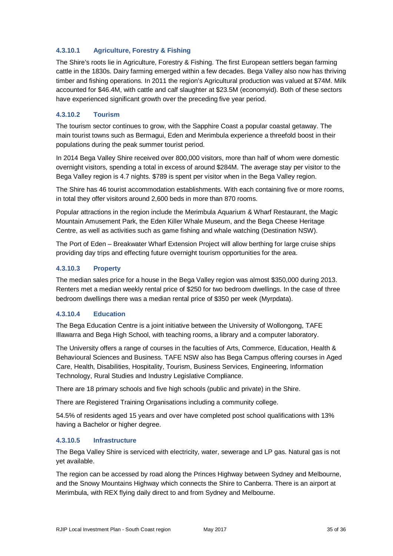#### **4.3.10.1 Agriculture, Forestry & Fishing**

The Shire's roots lie in Agriculture, Forestry & Fishing. The first European settlers began farming cattle in the 1830s. Dairy farming emerged within a few decades. Bega Valley also now has thriving timber and fishing operations. In 2011 the region's Agricultural production was valued at \$74M. Milk accounted for \$46.4M, with cattle and calf slaughter at \$23.5M (economyid). Both of these sectors have experienced significant growth over the preceding five year period.

#### **4.3.10.2 Tourism**

The tourism sector continues to grow, with the Sapphire Coast a popular coastal getaway. The main tourist towns such as Bermagui, Eden and Merimbula experience a threefold boost in their populations during the peak summer tourist period.

In 2014 Bega Valley Shire received over 800,000 visitors, more than half of whom were domestic overnight visitors, spending a total in excess of around \$284M. The average stay per visitor to the Bega Valley region is 4.7 nights. \$789 is spent per visitor when in the Bega Valley region.

The Shire has 46 tourist accommodation establishments. With each containing five or more rooms, in total they offer visitors around 2,600 beds in more than 870 rooms.

Popular attractions in the region include the Merimbula Aquarium & Wharf Restaurant, the Magic Mountain Amusement Park, the Eden Killer Whale Museum, and the Bega Cheese Heritage Centre, as well as activities such as game fishing and whale watching (Destination NSW).

The Port of Eden – Breakwater Wharf Extension Project will allow berthing for large cruise ships providing day trips and effecting future overnight tourism opportunities for the area.

#### **4.3.10.3 Property**

The median sales price for a house in the Bega Valley region was almost \$350,000 during 2013. Renters met a median weekly rental price of \$250 for two bedroom dwellings. In the case of three bedroom dwellings there was a median rental price of \$350 per week (Myrpdata).

#### **4.3.10.4 Education**

The Bega Education Centre is a joint initiative between the University of Wollongong, TAFE Illawarra and Bega High School, with teaching rooms, a library and a computer laboratory.

The University offers a range of courses in the faculties of Arts, Commerce, Education, Health & Behavioural Sciences and Business. TAFE NSW also has Bega Campus offering courses in Aged Care, Health, Disabilities, Hospitality, Tourism, Business Services, Engineering, Information Technology, Rural Studies and Industry Legislative Compliance.

There are 18 primary schools and five high schools (public and private) in the Shire.

There are Registered Training Organisations including a community college.

54.5% of residents aged 15 years and over have completed post school qualifications with 13% having a Bachelor or higher degree.

#### **4.3.10.5 Infrastructure**

The Bega Valley Shire is serviced with electricity, water, sewerage and LP gas. Natural gas is not yet available.

The region can be accessed by road along the Princes Highway between Sydney and Melbourne, and the Snowy Mountains Highway which connects the Shire to Canberra. There is an airport at Merimbula, with REX flying daily direct to and from Sydney and Melbourne.